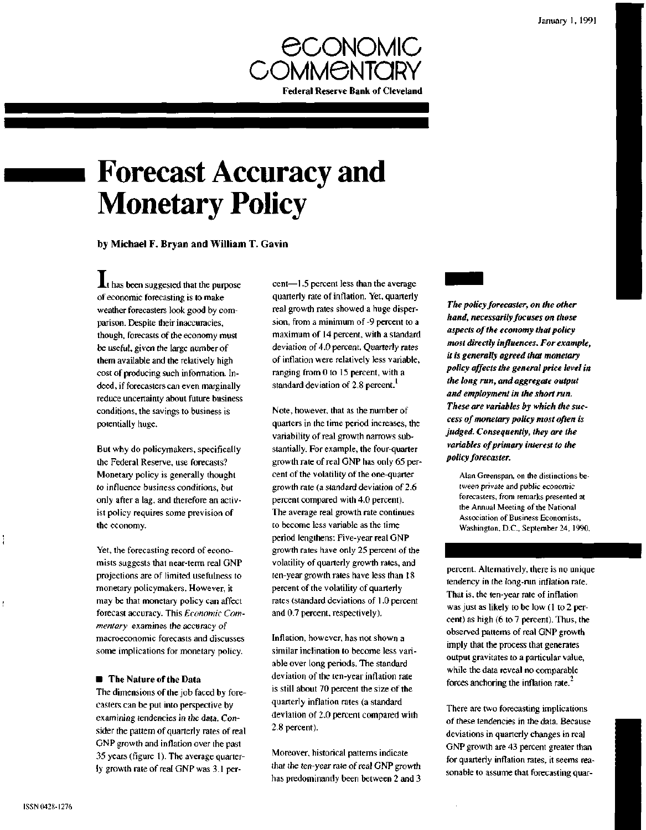

# **Forecast Accuracy and Monetary Policy**

by Michael F. Bryan and William T. Gavin

**At** has been suggested that the purpose of economic forecasting is to make weather forecasters look good by comparison. Despite their inaccuracies, though, forecasts of the economy must be useful, given the large number of them available and the relatively high cost of producing such information. Indeed, if forecasters can even marginally reduce uncertainty about future business conditions, the savings to business is potentially huge.

But why do policymakers, specifically the Federal Reserve, use forecasts? Monetary policy is generally thought to influence business conditions, but only after a lag, and therefore an activist policy requires some prevision of the economy.

Yet, the forecasting record of economists suggests that near-term real GNP projections are of limited usefulness to monetary policymakers. However, it may be that monetary policy can affect forecast accuracy. This *Economic Commentary* examines the accuracy of macroeconomic forecasts and discusses some implications for monetary policy.

## **• The Nature of the Data**

The dimensions of the job faced by forecasters can be put into perspective by examining tendencies in the data. Consider the pattern of quarterly rates of real GNP growth and inflation over the past 35 years (figure 1). The average quarterly growth rate of real GNP was 3.1 percent—1.5 percent less than the average quarterly rate of inflation. Yet, quarterly real growth rates showed a huge dispersion, from a minimum of -9 percent to a maximum of 14 percent, with a standard deviation of 4.0 percent. Quarterly rates of inflation were relatively less variable, ranging from 0 to 15 percent, with a standard deviation of 2.8 percent.<sup>1</sup>

Note, however, that as the number of quarters in the time period increases, the variability of real growth narrows substantially. For example, the four-quarter growth rate of real GNP has only 65 percent of the volatility of the one-quarter growth rate (a standard deviation of 2.6 percent compared with 4.0 percent). The average real growth rate continues to become less variable as the time period lengthens: Five-year real GNP growth rates have only 25 percent of the volatility of quarterly growth rates, and ten-year growth rates have less than 18 percent of the volatility of quarterly rates (standard deviations of 1.0 percent and 0.7 percent, respectively).

Inflation, however, has not shown a similar inclination to become less variable over long periods. The standard deviation of the ten-year inflation rate is still about 70 percent the size of the quarterly inflation rates (a standard deviation of 2.0 percent compared with 2.8 percent).

Moreover, historical patterns indicate that the ten-year rate of real GNP growth has predominantly been between 2 and 3

*The policy forecaster, on the other hand, necessarily focuses on those aspects of the economy that policy most directly influences. For example, it is generally agreed that monetary policy affects the general price level in the long run, and aggregate output and employment in the short run. These are variables by which the success of monetary policy most often is judged. Consequently, they are the variables of primary interest to the policy forecaster.*

Alan Greenspan, on the distinctions between private and public economic forecasters, from remarks presented at the Annual Meeting of the National Association of Business Economists, Washington, D.C., September 24, 1990.

percent. Alternatively, there is no unique tendency in the long-run inflation rate. That is, the ten-year rate of inflation was just as likely to be low (1 to 2 percent) as high (6 to 7 percent). Thus, the observed patterns of real GNP growth imply that the process that generates output gravitates to a particular value, while the data reveal no comparable forces anchoring the inflation rate.

There are two forecasting implications of these tendencies in the data. Because deviations in quarterly changes in real GNP growth are 43 percent greater than for quarterly inflation rates, it seems reasonable to assume that forecasting quar-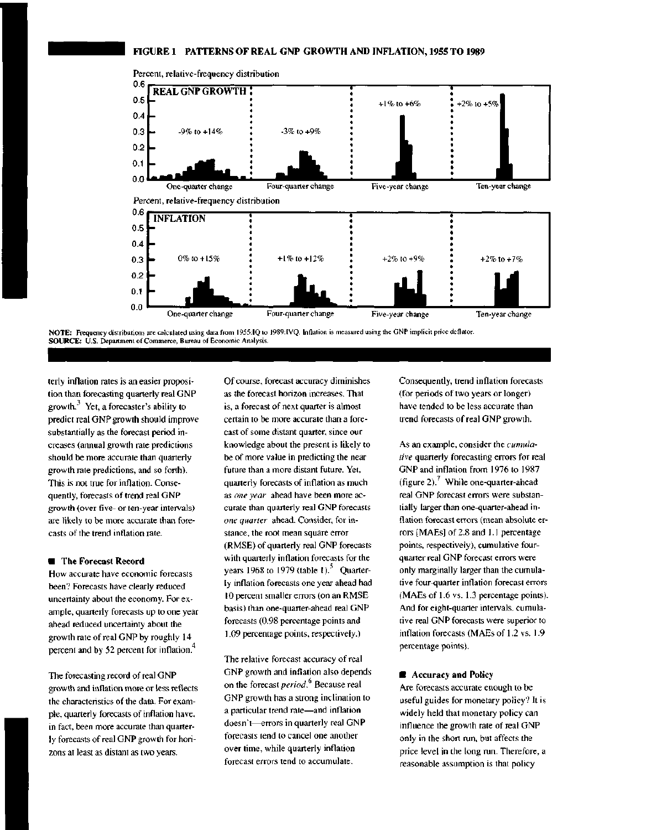

Percent, relative-frequency distribution

**NOTE:** Frequency distributions are calculated using data from 1955:IQ to 1989:1VQ. Inflation is measured using the GNP implicit price deflator. **SOURCE:** U.S. Department of Commerce, Bureau of Economic Analysis.

terly inflation rates is an easier proposition than forecasting quarterly real GNP growth. $3$  Yet, a forecaster's ability to predict real GNP growth should improve substantially as the forecast period increases (annual growth rate predictions should be more accurate than quarterly growth rate predictions, and so forth). This is not true for inflation. Consequently, forecasts of trend real GNP growth (over five- or ten-year intervals) are likely to be more accurate than forecasts of the trend inflation rate.

### **• The Forecast Record**

How accurate have economic forecasts been? Forecasts have clearly reduced uncertainty about the economy. For example, quarterly forecasts up to one year ahead reduced uncertainty about the growth rate of real GNP by roughly 14 percent and by 52 percent for inflation.

The forecasting record of real GNP growth and inflation more or less reflects the characteristics of the data. For example, quarterly forecasts of inflation have, in fact, been more accurate than quarterly forecasts of real GNP growth for horizons at least as distant as two years.

Of course, forecast accuracy diminishes as the forecast horizon increases. That is, a forecast of next quarter is almost certain to be more accurate than a forecast of some distant quarter, since our knowledge about the present is likely to be of more value in predicting the near future than a more distant future. Yet, quarterly forecasts of inflation as much as *one year* ahead have been more accurate than quarterly real GNP forecasts *one quarter* ahead. Consider, for instance, the root mean square error (RMSE) of quarterly real GNP forecasts with quarterly inflation forecasts for the years 1968 to 1979 (table 1).<sup>5</sup> Quarterly inflation forecasts one year ahead had 10 percent smaller errors (on an RMSE basis) than one-quarter-ahead real GNP forecasts (0.98 percentage points and 1.09 percentage points, respectively.)

The relative forecast accuracy of real GNP growth and inflation also depends on the forecast *period*.<sup>6</sup> Because real GNP growth has a strong inclination to a particular trend rate—and inflation doesn't—errors in quarterly real GNP forecasts tend to cancel one another over time, while quarterly inflation forecast errors tend to accumulate.

Consequently, trend inflation forecasts (for periods of two years or longer) have tended to be less accurate than trend forecasts of real GNP growth.

As an example, consider the *cumulative* quarterly forecasting errors for real GNP and inflation from 1976 to 1987 (figure 2).<sup>7</sup> While one-quarter-ahead real GNP forecast errors were substantially larger than one-quarter-ahead inflation forecast errors (mean absolute errors [MAEs] of 2.8 and 1.1 percentage points, respectively), cumulative fourquarter real GNP forecast errors were only marginally larger than the cumulative four-quarter inflation forecast errors (MAEs of 1.6 vs. 1.3 percentage points). And for eight-quarter intervals, cumulative real GNP forecasts were superior to inflation forecasts (MAEs of 1.2 vs. 1.9 percentage points).

## **• Accuracy and Policy**

Are forecasts accurate enough to be useful guides for monetary policy? It is widely held that monetary policy can influence the growth rate of real GNP only in the short run, but affects the price level in the long run. Therefore, a reasonable assumption is that policy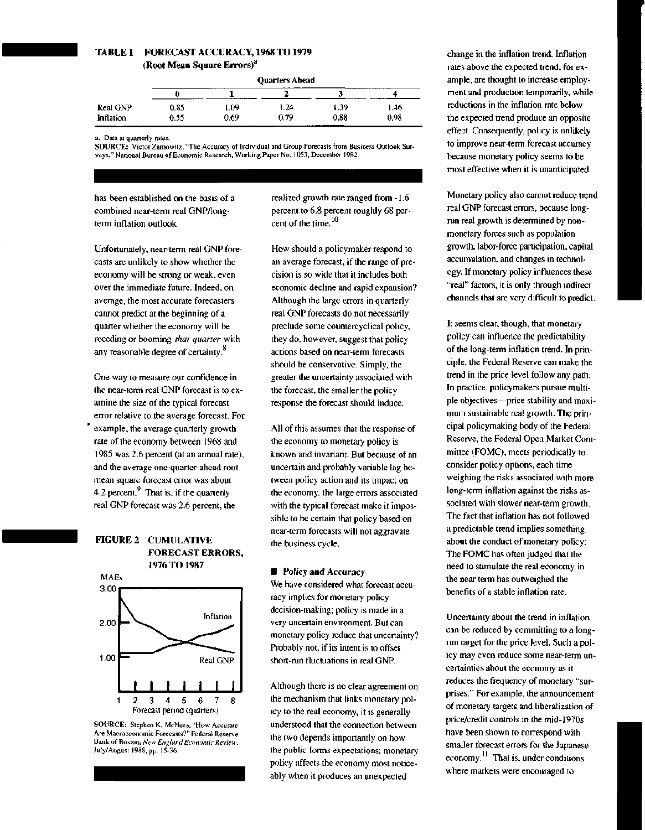## **TABLE 1 FORECAST ACCURACY, 1968 TO 1979 (Root Mean Square Errors)<sup>1</sup>** i

| Quarters Ahead |  |
|----------------|--|

|           | ----------- |                     |      |                |          |  |
|-----------|-------------|---------------------|------|----------------|----------|--|
|           |             | ----<br>----------- |      |                | $\cdots$ |  |
| Real GNP  | 0.85        | .09                 | . 24 | . 39           | 1.46.    |  |
| Inflation | 0.55        | 0.69                | 0.79 | 0.88<br>------ | 0.98     |  |

a. Data at quarterly rates.

**SOURCE:** Victor Zarnowitz, "The Accuracy of Individual and Group Forecasts from Business Outlook Surveys," National Bureau of Economic Research, Working Paper No. 1053, December 1982.

has been established on the basis of a combined near-term real GNP/longterm inflation outlook.

Unfortunately, near-term real GNP forecasts are unlikely to show whether the economy will be strong or weak, even over the immediate future. Indeed, on average, the most accurate forecasters cannot predict at the beginning of a quarter whether the economy will be receding or booming *that quarter* with any reasonable degree of certainty.<sup>8</sup>

One way to measure our confidence in the near-term real GNP forecast is to examine the size of the typical forecast error relative to the average forecast. For example, the average quarterly growth rate of the economy between 1968 and 1985 was 2.6 percent (at an annual rate), and the average one-quarter-ahead root mean square forecast error was about 4.2 percent. $<sup>9</sup>$  That is, if the quarterly</sup> real GNP forecast was 2.6 percent, the

## **FIGURE 2 CUMULATIVE FORECAST ERRORS, 1976 TO 1987**



**SOURCE:** Stephen K. McNees, "How Accurate Are Macroeconomic Forecasts?" Federal Reserve Bank of Boston, *New England Economic Review,* July/August 1988, pp. 15-36.

realized growth rate ranged from -1.6 percent to 6.8 percent roughly 68 percent of the time. 10

How should a policymaker respond to an average forecast, if the range of precision is so wide that it includes both economic decline and rapid expansion? Although the large errors in quarterly real GNP forecasts do not necessarily preclude some countercyclical policy, they do, however, suggest that policy actions based on near-term forecasts should be conservative. Simply, the greater the uncertainty associated with the forecast, the smaller the policy response the forecast should induce.

All of this assumes that the response of the economy to monetary policy is known and invariant. But because of an uncertain and probably variable lag between policy action and its impact on the economy, the large errors associated with the typical forecast make it impossible to be certain that policy based on near-term forecasts will not aggravate the business cycle.

## **• Policy and Accuracy**

We have considered what forecast accuracy implies for monetary policy decision-making; policy is made in a very uncertain environment. But can monetary policy reduce that uncertainty? Probably not, if its intent is to offset short-run fluctuations in real GNP.

Although there is no clear agreement on the mechanism that links monetary policy to the real economy, it is generally understood that the connection between the two depends importantly on how the public forms expectations; monetary policy affects the economy most noticeably when it produces an unexpected

change in the inflation trend. Inflation rates above the expected trend, for example, are thought to increase employment and production temporarily, while reductions in the inflation rate below the expected trend produce an opposite effect. Consequently, policy is unlikely to improve near-term forecast accuracy because monetary policy seems to be most effective when it is unanticipated.

Monetary policy also cannot reduce trend real GNP forecast errors, because longrun real growth is determined by nonmonetary forces such as population growth, labor-force participation, capital accumulation, and changes in technology. If monetary policy influences these "real" factors, it is only through indirect channels that are very difficult to predict.

It seems clear, though, that monetary policy can influence the predictability of the long-term inflation trend. In principle, the Federal Reserve can make the trend in the price level follow any path. In practice, policymakers pursue multiple objectives—price stability and maximum sustainable real growth. The principal policymaking body of the Federal Reserve, the Federal Open Market Committee (FOMC), meets periodically to consider policy options, each time weighing the risks associated with more long-term inflation against the risks associated with slower near-term growth. The fact that inflation has not followed a predictable trend implies something about the conduct of monetary policy: The FOMC has often judged that the need to stimulate the real economy in the near term has outweighed the benefits of a stable inflation rate.

Uncertainty about the trend in inflation can be reduced by committing to a longrun target for the price level. Such a policy may even reduce some near-term uncertainties about the economy as it reduces the frequency of monetary "surprises." For example, the announcement of monetary targets and liberalization of price/credit controls in the mid-1970s have been shown to correspond with smaller forecast errors for the Japanese economy.<sup>11</sup> That is, under conditions where markets were encouraged to